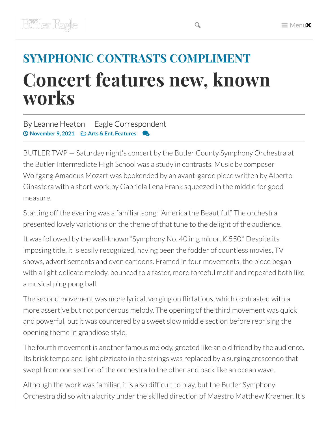## **SYMPHONIC CONTRASTS COMPLIMENT Concert features new, known works**

## By Leanne Heaton Eagle Correspondent ⏲ **November 9, 2021 Arts & Ent. Features**

BUTLER TWP — Saturday night's concert by the Butler County Symphony Orchestra at the Butler Intermediate High School was a study in contrasts. Music by composer Wolfgang Amadeus Mozart was bookended by an avant-garde piece written by Alberto Ginastera with a short work by Gabriela Lena Frank squeezed in the middle for good measure.

Starting off the evening was a familiar song: "America the Beautiful." The orchestra presented lovely variations on the theme of that tune to the delight of the audience.

It was followed by the well-known "Symphony No. 40 in g minor, K 550." Despite its imposing title, it is easily recognized, having been the fodder of countless movies, TV shows, advertisements and even cartoons. Framed in four movements, the piece began with a light delicate melody, bounced to a faster, more forceful motif and repeated both like a musical ping pong ball.

The second movement was more lyrical, verging on flirtatious, which contrasted with a more assertive but not ponderous melody. The opening of the third movement was quick and powerful, but it was countered by a sweet slow middle section before reprising the opening theme in grandiose style.

The fourth movement is another famous melody, greeted like an old friend by the audience. Its brisk tempo and light pizzicato in the strings was replaced by a surging crescendo that swept from one section of the orchestra to the other and back like an ocean wave.

Although the work was familiar, it is also difficult to play, but the Butler Symphony Orchestra did so with alacrity under the skilled direction of Maestro Matthew Kraemer. It's